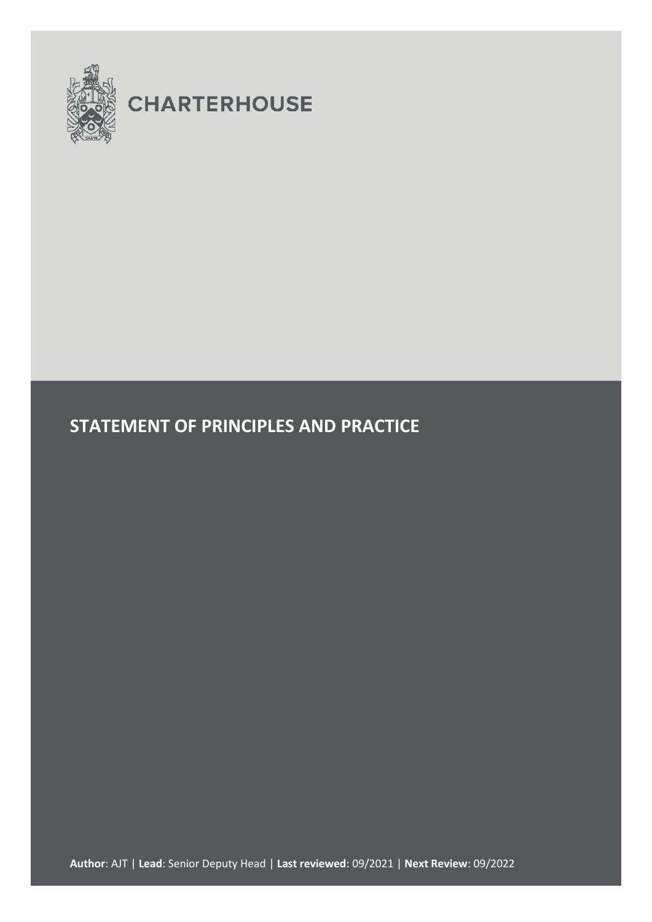

# **CHARTERHOUSE**

# **STATEMENT OF PRINCIPLES AND PRACTICE**

**Author**: AJT | **Lead**: Senior Deputy Head | **Last reviewed**: 09/2021 | **Next Review**: 09/2022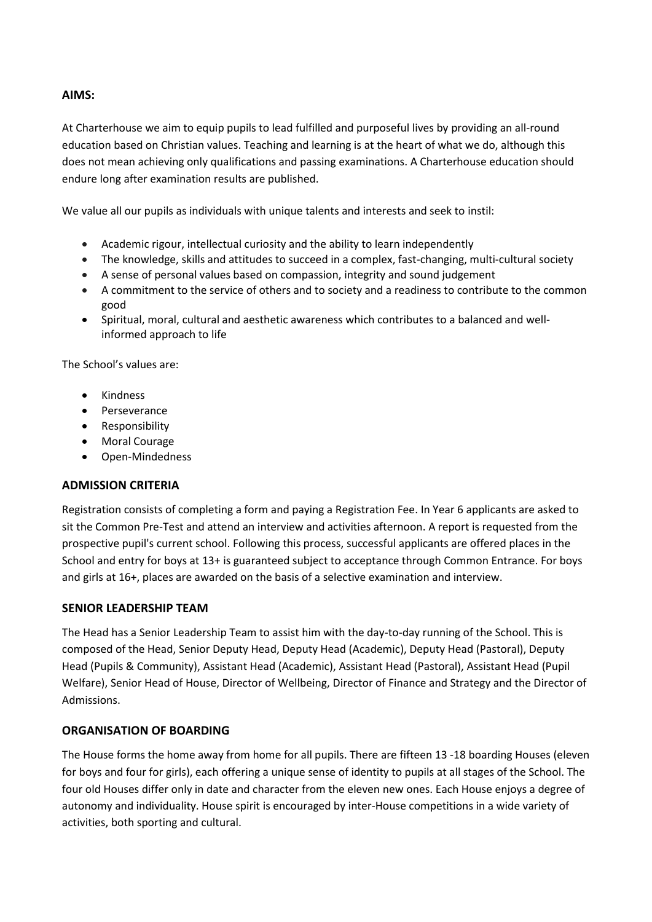#### **AIMS:**

At Charterhouse we aim to equip pupils to lead fulfilled and purposeful lives by providing an all-round education based on Christian values. Teaching and learning is at the heart of what we do, although this does not mean achieving only qualifications and passing examinations. A Charterhouse education should endure long after examination results are published.

We value all our pupils as individuals with unique talents and interests and seek to instil:

- Academic rigour, intellectual curiosity and the ability to learn independently
- The knowledge, skills and attitudes to succeed in a complex, fast-changing, multi-cultural society
- A sense of personal values based on compassion, integrity and sound judgement
- A commitment to the service of others and to society and a readiness to contribute to the common good
- Spiritual, moral, cultural and aesthetic awareness which contributes to a balanced and wellinformed approach to life

The School's values are:

- Kindness
- Perseverance
- Responsibility
- Moral Courage
- Open-Mindedness

#### **ADMISSION CRITERIA**

Registration consists of completing a form and paying a Registration Fee. In Year 6 applicants are asked to sit the Common Pre-Test and attend an interview and activities afternoon. A report is requested from the prospective pupil's current school. Following this process, successful applicants are offered places in the School and entry for boys at 13+ is guaranteed subject to acceptance through Common Entrance. For boys and girls at 16+, places are awarded on the basis of a selective examination and interview.

#### **SENIOR LEADERSHIP TEAM**

The Head has a Senior Leadership Team to assist him with the day-to-day running of the School. This is composed of the Head, Senior Deputy Head, Deputy Head (Academic), Deputy Head (Pastoral), Deputy Head (Pupils & Community), Assistant Head (Academic), Assistant Head (Pastoral), Assistant Head (Pupil Welfare), Senior Head of House, Director of Wellbeing, Director of Finance and Strategy and the Director of Admissions.

#### **ORGANISATION OF BOARDING**

The House forms the home away from home for all pupils. There are fifteen 13 -18 boarding Houses (eleven for boys and four for girls), each offering a unique sense of identity to pupils at all stages of the School. The four old Houses differ only in date and character from the eleven new ones. Each House enjoys a degree of autonomy and individuality. House spirit is encouraged by inter-House competitions in a wide variety of activities, both sporting and cultural.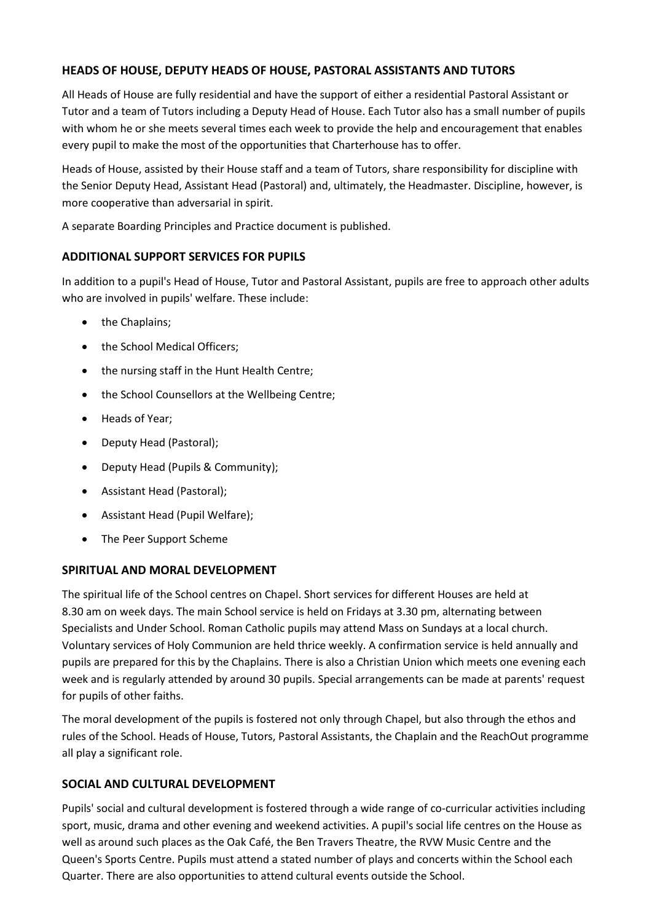# **HEADS OF HOUSE, DEPUTY HEADS OF HOUSE, PASTORAL ASSISTANTS AND TUTORS**

All Heads of House are fully residential and have the support of either a residential Pastoral Assistant or Tutor and a team of Tutors including a Deputy Head of House. Each Tutor also has a small number of pupils with whom he or she meets several times each week to provide the help and encouragement that enables every pupil to make the most of the opportunities that Charterhouse has to offer.

Heads of House, assisted by their House staff and a team of Tutors, share responsibility for discipline with the Senior Deputy Head, Assistant Head (Pastoral) and, ultimately, the Headmaster. Discipline, however, is more cooperative than adversarial in spirit.

A separate Boarding Principles and Practice document is published.

# **ADDITIONAL SUPPORT SERVICES FOR PUPILS**

In addition to a pupil's Head of House, Tutor and Pastoral Assistant, pupils are free to approach other adults who are involved in pupils' welfare. These include:

- the Chaplains;
- the School Medical Officers;
- the nursing staff in the Hunt Health Centre;
- the School Counsellors at the Wellbeing Centre;
- Heads of Year;
- Deputy Head (Pastoral);
- Deputy Head (Pupils & Community);
- Assistant Head (Pastoral);
- Assistant Head (Pupil Welfare);
- The Peer Support Scheme

# **SPIRITUAL AND MORAL DEVELOPMENT**

The spiritual life of the School centres on Chapel. Short services for different Houses are held at 8.30 am on week days. The main School service is held on Fridays at 3.30 pm, alternating between Specialists and Under School. Roman Catholic pupils may attend Mass on Sundays at a local church. Voluntary services of Holy Communion are held thrice weekly. A confirmation service is held annually and pupils are prepared for this by the Chaplains. There is also a Christian Union which meets one evening each week and is regularly attended by around 30 pupils. Special arrangements can be made at parents' request for pupils of other faiths.

The moral development of the pupils is fostered not only through Chapel, but also through the ethos and rules of the School. Heads of House, Tutors, Pastoral Assistants, the Chaplain and the ReachOut programme all play a significant role.

# **SOCIAL AND CULTURAL DEVELOPMENT**

Pupils' social and cultural development is fostered through a wide range of co-curricular activities including sport, music, drama and other evening and weekend activities. A pupil's social life centres on the House as well as around such places as the Oak Café, the Ben Travers Theatre, the RVW Music Centre and the Queen's Sports Centre. Pupils must attend a stated number of plays and concerts within the School each Quarter. There are also opportunities to attend cultural events outside the School.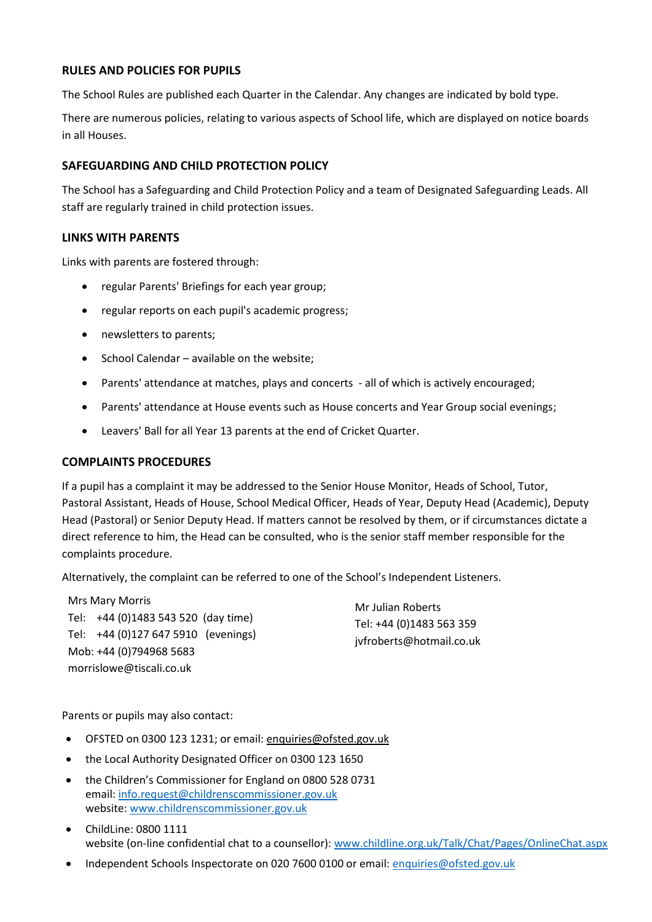# **RULES AND POLICIES FOR PUPILS**

The School Rules are published each Quarter in the Calendar. Any changes are indicated by bold type.

There are numerous policies, relating to various aspects of School life, which are displayed on notice boards in all Houses.

#### **SAFEGUARDING AND CHILD PROTECTION POLICY**

The School has a Safeguarding and Child Protection Policy and a team of Designated Safeguarding Leads. All staff are regularly trained in child protection issues.

#### **LINKS WITH PARENTS**

Links with parents are fostered through:

- regular Parents' Briefings for each year group;
- regular reports on each pupil's academic progress;
- newsletters to parents;
- $\bullet$  School Calendar available on the website;
- Parents' attendance at matches, plays and concerts all of which is actively encouraged;
- Parents' attendance at House events such as House concerts and Year Group social evenings;
- Leavers' Ball for all Year 13 parents at the end of Cricket Quarter.

#### **COMPLAINTS PROCEDURES**

If a pupil has a complaint it may be addressed to the Senior House Monitor, Heads of School, Tutor, Pastoral Assistant, Heads of House, School Medical Officer, Heads of Year, Deputy Head (Academic), Deputy Head (Pastoral) or Senior Deputy Head. If matters cannot be resolved by them, or if circumstances dictate a direct reference to him, the Head can be consulted, who is the senior staff member responsible for the complaints procedure.

Alternatively, the complaint can be referred to one of the School's Independent Listeners.

Mrs Mary Morris Tel: +44 (0)1483 543 520 (day time) Tel: +44 (0)127 647 5910 (evenings) Mob: +44 (0)794968 5683 morrislowe@tiscali.co.uk

Mr Julian Roberts Tel: +44 (0)1483 563 359 jvfroberts@hotmail.co.uk

Parents or pupils may also contact:

- OFSTED on 0300 123 1231; or email: [enquiries@ofsted.gov.uk](mailto:enquiries@ofsted.gov.uk)
- the Local Authority Designated Officer on 0300 123 1650
- the Children's Commissioner for England on 0800 528 0731 email: info.request@childrenscommissioner.gov.uk website: www.childrenscommissioner.gov.uk
- ChildLine: 0800 1111 website (on-line confidential chat to a counsellor): www.childline.org.uk/Talk/Chat/Pages/OnlineChat.aspx
- Independent Schools Inspectorate on 020 7600 0100 or email: [enquiries@ofsted.gov.uk](mailto:enquiries@ofsted.gov.uk)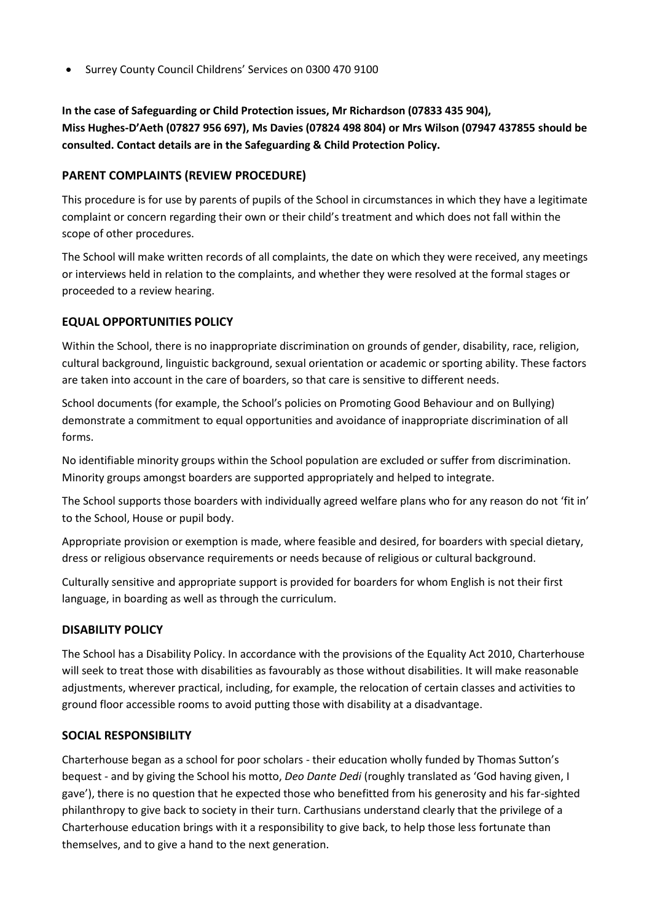Surrey County Council Childrens' Services on 0300 470 9100

**In the case of Safeguarding or Child Protection issues, Mr Richardson (07833 435 904), Miss Hughes-D'Aeth (07827 956 697), Ms Davies (07824 498 804) or Mrs Wilson (07947 437855 should be consulted. Contact details are in the Safeguarding & Child Protection Policy.**

# **PARENT COMPLAINTS (REVIEW PROCEDURE)**

This procedure is for use by parents of pupils of the School in circumstances in which they have a legitimate complaint or concern regarding their own or their child's treatment and which does not fall within the scope of other procedures.

The School will make written records of all complaints, the date on which they were received, any meetings or interviews held in relation to the complaints, and whether they were resolved at the formal stages or proceeded to a review hearing.

# **EQUAL OPPORTUNITIES POLICY**

Within the School, there is no inappropriate discrimination on grounds of gender, disability, race, religion, cultural background, linguistic background, sexual orientation or academic or sporting ability. These factors are taken into account in the care of boarders, so that care is sensitive to different needs.

School documents (for example, the School's policies on Promoting Good Behaviour and on Bullying) demonstrate a commitment to equal opportunities and avoidance of inappropriate discrimination of all forms.

No identifiable minority groups within the School population are excluded or suffer from discrimination. Minority groups amongst boarders are supported appropriately and helped to integrate.

The School supports those boarders with individually agreed welfare plans who for any reason do not 'fit in' to the School, House or pupil body.

Appropriate provision or exemption is made, where feasible and desired, for boarders with special dietary, dress or religious observance requirements or needs because of religious or cultural background.

Culturally sensitive and appropriate support is provided for boarders for whom English is not their first language, in boarding as well as through the curriculum.

# **DISABILITY POLICY**

The School has a Disability Policy. In accordance with the provisions of the Equality Act 2010, Charterhouse will seek to treat those with disabilities as favourably as those without disabilities. It will make reasonable adjustments, wherever practical, including, for example, the relocation of certain classes and activities to ground floor accessible rooms to avoid putting those with disability at a disadvantage.

# **SOCIAL RESPONSIBILITY**

Charterhouse began as a school for poor scholars - their education wholly funded by Thomas Sutton's bequest - and by giving the School his motto, *Deo Dante Dedi* (roughly translated as 'God having given, I gave'), there is no question that he expected those who benefitted from his generosity and his far-sighted philanthropy to give back to society in their turn. Carthusians understand clearly that the privilege of a Charterhouse education brings with it a responsibility to give back, to help those less fortunate than themselves, and to give a hand to the next generation.